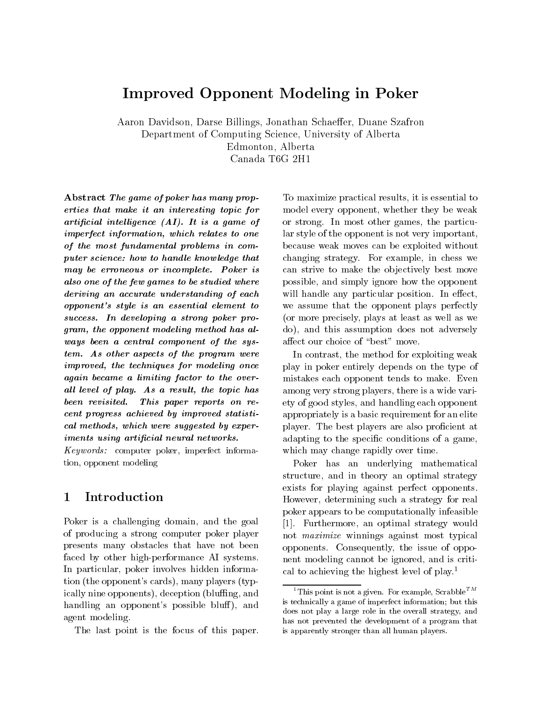## Improved Opponent Modeling in Poker

Aaron Davidson, Darse Billings, Jonathan Schaeffer, Duane Szafron Department of Computing Science, University of Alberta Edmonton, Alberta Canada T6G 2H1

Abstract The game of poker has many properties that make it an interesting topic for artificial intelligence  $(AI)$ . It is a game of imperfect information, which relates to one of the most fundamental problems in computer science: how to handle knowledge that may be erroneous or incomplete. Poker is also one of the few games to be studied where deriving an accurate understanding of each opponent's style is an essential element to success. In developing a strong poker program, the opponent modeling method has always been a central component of the system. As other aspects of the program were improved, the techniques for modeling once again became a limiting factor to the overall level of play. As a result, the topic has been revisited. This paper reports on recent progress achieved by improved statistical methods, which were suggested by experiments using artificial neural networks.

Keywords: computer poker, imperfect information, opponent modeling

Poker is a challenging domain, and the goal of producing a strong computer poker player presents many obstacles that have not been faced by other high-performance AI systems. In particular, poker involves hidden information (the opponent's cards), many players (typically nine opponents), deception (bluffing, and handling an opponent's possible bluff), and agent modeling.

The last point is the focus of this paper.

To maximize practical results, it is essential to model every opponent, whether they be weak or strong. In most other games, the particular style of the opponent is not very important, because weak moves can be exploited without changing strategy. For example, in chess we can strive to make the objectively best move possible, and simply ignore how the opponent will handle any particular position. In effect, we assume that the opponent plays perfectly (or more precisely, plays at least as well as we do), and this assumption does not adversely affect our choice of "best" move.

In contrast, the method for exploiting weak play in poker entirely depends on the type of mistakes each opponent tends to make. Even among very strong players, there is a wide variety of good styles, and handling each opponent appropriately is a basic requirement for an elite player. The best players are also proficient at adapting to the specific conditions of a game, which may change rapidly over time.

Poker has an underlying mathematical structure, and in theory an optimal strategy exists for playing against perfect opponents. However, determining such a strategy for real poker appears to be computationally infeasible [1]. Furthermore, an optimal strategy would not maximize winnings against most typical opponents. Consequently, the issue of opponent modeling cannot be ignored, and is critical to achieving the highest level of play.1

 $^1\mathrm{This}$  point is not a given. For example, Scrabble $^{TM}$ is technically a game of imperfect information; but this does not play a large role in the overall strategy, and has not prevented the development of a program that is apparently stronger than all human players.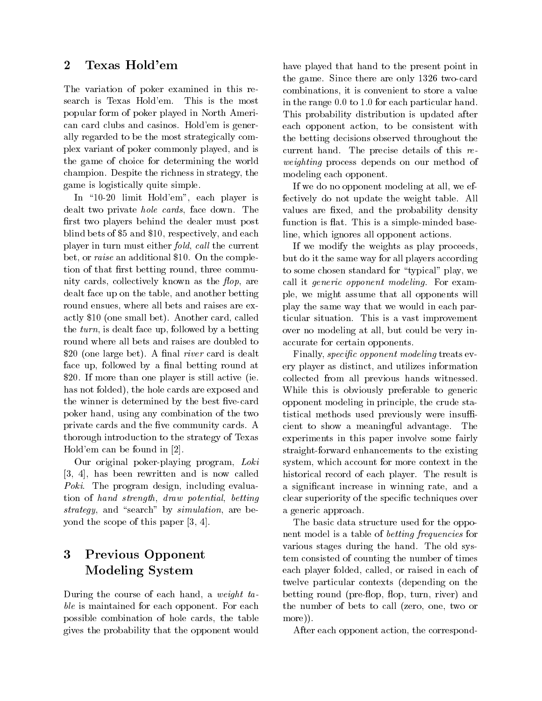#### 2 Texas Hold'em

The variation of poker examined in this research is Texas Hold'em. This is the most popular form of poker played in North American card clubs and casinos. Hold'em is generally regarded to be the most strategically complex variant of poker commonly played, and is the game of choice for determining the world champion. Despite the richness in strategy, the game is logistically quite simple.

In \10-20 limit Hold'em", each player is dealt two private hole cards, face down. The first two players behind the dealer must post blind bets of \$5 and \$10, respectively, and each player in turn must either *fold, call* the current bet, or raise an additional \$10. On the completion of that first betting round, three community cards, collectively known as the  $flop$ , are dealt face up on the table, and another betting round ensues, where all bets and raises are exactly \$10 (one small bet). Another card, called the turn, is dealt face up, followed by a betting round where all bets and raises are doubled to \$20 (one large bet). A final *river* card is dealt face up, followed by a final betting round at \$20. If more than one player is still active (ie. has not folded), the hole cards are exposed and the winner is determined by the best five-card poker hand, using any combination of the two private cards and the five community cards. A thorough introduction to the strategy of Texas Hold'em can be found in [2].

Our original poker-playing program, Loki [3, 4], has been rewritten and is now called Poki. The program design, including evaluation of hand strength, draw potential, betting strategy, and "search" by simulation, are beyond the scope of this paper [3, 4].

## 3 Previous Opponent Modeling System

During the course of each hand, a weight table is maintained for each opponent. For each possible combination of hole cards, the table gives the probability that the opponent would have played that hand to the present point in the game. Since there are only 1326 two-card combinations, it is convenient to store a value in the range 0.0 to 1.0 for each particular hand. This probability distribution is updated after each opponent action, to be consistent with the betting decisions observed throughout the current hand. The precise details of this reweighting process depends on our method of modeling each opponent.

If we do no opponent modeling at all, we effectively do not update the weight table. All values are fixed, and the probability density function is flat. This is a simple-minded baseline, which ignores all opponent actions.

If we modify the weights as play proceeds, but do it the same way for all players according to some chosen standard for \typical" play, we call it generic opponent modeling. For example, we might assume that all opponents will play the same way that we would in each particular situation. This is a vast improvement over no modeling at all, but could be very inaccurate for certain opponents.

Finally, *specific opponent modeling* treats every player as distinct, and utilizes information collected from all previous hands witnessed. While this is obviously preferable to generic opponent modeling in principle, the crude statistical methods used previously were insufficient to show a meaningful advantage. The experiments in this paper involve some fairly straight-forward enhancements to the existing system, which account for more context in the historical record of each player. The result is a signicant increase in winning rate, and a clear superiority of the specic techniques over a generic approach.

The basic data structure used for the opponent model is a table of betting frequencies for various stages during the hand. The old system consisted of counting the number of times each player folded, called, or raised in each of twelve particular contexts (depending on the betting round (pre-flop, flop, turn, river) and the number of bets to call (zero, one, two or more)).

After each opponent action, the correspond-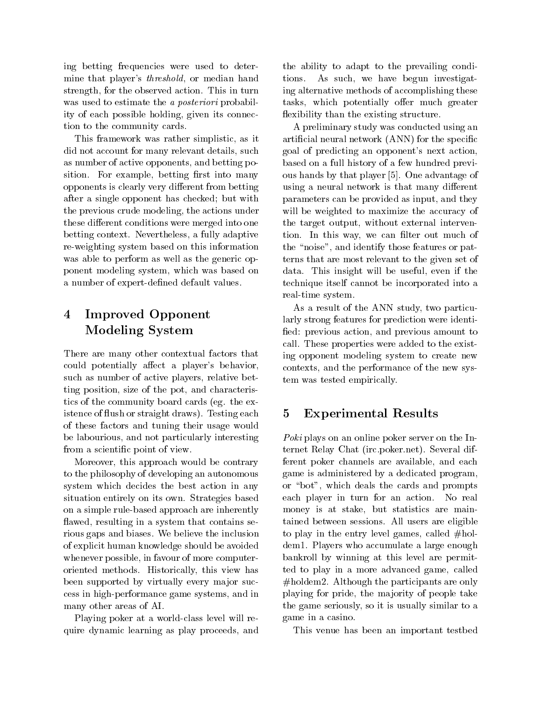ing betting frequencies were used to determine that player's *threshold*, or median hand tions. strength, for the observed action. This in turn was used to estimate the *a posteriori* probability of each possible holding, given its connection to the community cards.

This framework was rather simplistic, as it did not account for many relevant details, such as number of active opponents, and betting position. For example, betting first into many opponents is clearly very different from betting after a single opponent has checked; but with the previous crude modeling, the actions under these different conditions were merged into one betting context. Nevertheless, a fully adaptive re-weighting system based on this information was able to perform as well as the generic opponent modeling system, which was based on a number of expert-defined default values.

# 4 Improved Opponent Modeling System

There are many other contextual factors that could potentially affect a player's behavior, such as number of active players, relative betting position, size of the pot, and characteristics of the community board cards (eg. the existence of flush or straight draws). Testing each  $5$ of these factors and tuning their usage would be labourious, and not particularly interesting from a scientic point of view.

Moreover, this approach would be contrary to the philosophy of developing an autonomous system which decides the best action in any situation entirely on its own. Strategies based on a simple rule-based approach are inherently flawed, resulting in a system that contains serious gaps and biases. We believe the inclusion of explicit human knowledge should be avoided whenever possible, in favour of more computeroriented methods. Historically, this view has been supported by virtually every major success in high-performance game systems, and in many other areas of AI.

Playing poker at a world-class level will require dynamic learning as play proceeds, and the ability to adapt to the prevailing condi-As such, we have begun investigating alternative methods of accomplishing these tasks, which potentially offer much greater flexibility than the existing structure.

A preliminary study was conducted using an artificial neural network (ANN) for the specific goal of predicting an opponent's next action, based on a full history of a few hundred previous hands by that player [5]. One advantage of using a neural network is that many different parameters can be provided as input, and they will be weighted to maximize the accuracy of the target output, without external intervention. In this way, we can filter out much of the "noise", and identify those features or patterns that are most relevant to the given set of data. This insight will be useful, even if the technique itself cannot be incorporated into a real-time system.

As a result of the ANN study, two particularly strong features for prediction were identi fied: previous action, and previous amount to call. These properties were added to the existing opponent modeling system to create new contexts, and the performance of the new system was tested empirically.

#### 5 Experimental Results

Poki plays on an online poker server on the Internet Relay Chat (irc.poker.net). Several different poker channels are available, and each game is administered by a dedicated program, or \bot", which deals the cards and prompts each player in turn for an action. No real money is at stake, but statistics are maintained between sessions. All users are eligible to play in the entry level games, called  $#hol$ dem1. Players who accumulate a large enough bankroll by winning at this level are permitted to play in a more advanced game, called #holdem2. Although the participants are only playing for pride, the majority of people take the game seriously, so it is usually similar to a game in a casino.

This venue has been an important testbed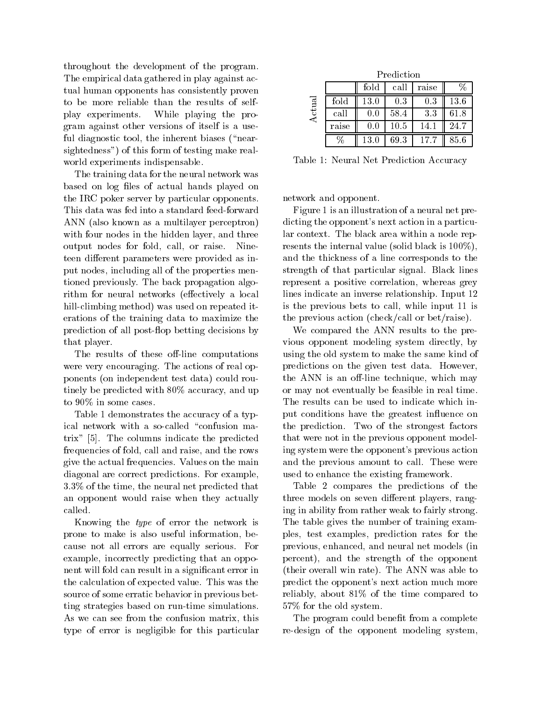throughout the development of the program. The empirical data gathered in play against actual human opponents has consistently proven to be more reliable than the results of selfplay experiments. While playing the program against other versions of itself is a useful diagnostic tool, the inherent biases ("nearsightedness") of this form of testing make realworld experiments indispensable.

The training data for the neural network was based on log files of actual hands played on the IRC poker server by particular opponents. This data was fed into a standard feed-forward ANN (also known as a multilayer perceptron) with four nodes in the hidden layer, and three output nodes for fold, call, or raise. Nineteen different parameters were provided as input nodes, including all of the properties mentioned previously. The back propagation algorithm for neural networks (effectively a local hill-climbing method) was used on repeated iterations of the training data to maximize the prediction of all post-flop betting decisions by that player.

The results of these off-line computations were very encouraging. The actions of real opponents (on independent test data) could routinely be predicted with 80% accuracy, and up to 90% in some cases.

Table 1 demonstrates the accuracy of a typical network with a so-called "confusion matrix" [5]. The columns indicate the predicted frequencies of fold, call and raise, and the rows give the actual frequencies. Values on the main diagonal are correct predictions. For example, 3.3% of the time, the neural net predicted that an opponent would raise when they actually called.

Knowing the type of error the network is prone to make is also useful information, because not all errors are equally serious. For example, incorrectly predicting that an opponent will fold can result in a signicant error in the calculation of expected value. This was the source of some erratic behavior in previous betting strategies based on run-time simulations. As we can see from the confusion matrix, this type of error is negligible for this particular

|        | Prediction |      |          |       |      |  |  |  |
|--------|------------|------|----------|-------|------|--|--|--|
| Actual |            | fold | call     | raise |      |  |  |  |
|        | fold       | 13.0 | 0.3      | 0.3   | 13.6 |  |  |  |
|        | call       | 0.0  | 58.4     | 3.3   | 61.8 |  |  |  |
|        | raise      | 0.0  | $10.5\,$ | 14.1  | 24.7 |  |  |  |
|        | %          | 13.0 | 69.3     | 17.7  | 85.6 |  |  |  |

Table 1: Neural Net Prediction Accuracy

network and opponent.

Figure 1 is an illustration of a neural net predicting the opponent's next action in a particular context. The black area within a node represents the internal value (solid black is 100%), and the thickness of a line corresponds to the strength of that particular signal. Black lines represent a positive correlation, whereas grey lines indicate an inverse relationship. Input 12 is the previous bets to call, while input 11 is the previous action (check/call or bet/raise).

We compared the ANN results to the previous opponent modeling system directly, by using the old system to make the same kind of predictions on the given test data. However, the ANN is an off-line technique, which may or may not eventually be feasible in real time. The results can be used to indicate which input conditions have the greatest influence on the prediction. Two of the strongest factors that were not in the previous opponent modeling system were the opponent's previous action and the previous amount to call. These were used to enhance the existing framework.

Table 2 compares the predictions of the three models on seven different players, ranging in ability from rather weak to fairly strong. The table gives the number of training examples, test examples, prediction rates for the previous, enhanced, and neural net models (in percent), and the strength of the opponent (their overall win rate). The ANN was able to predict the opponent's next action much more reliably, about 81% of the time compared to 57% for the old system.

The program could benefit from a complete re-design of the opponent modeling system,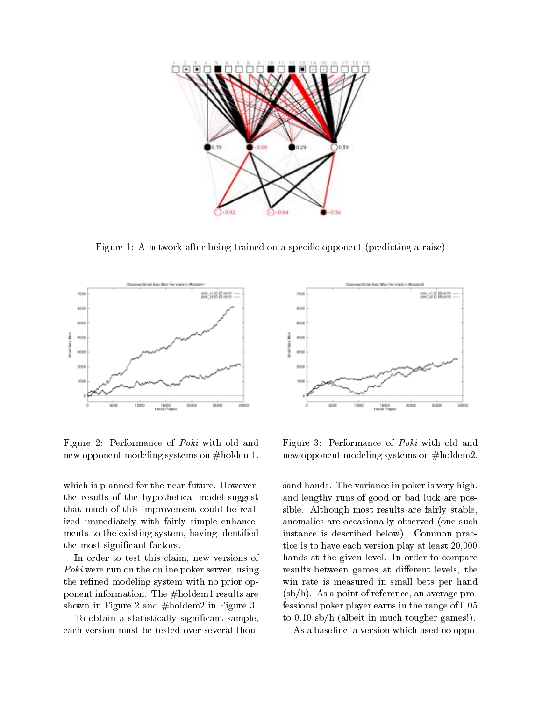

Figure 1: A network after being trained on a specic opponent (predicting a raise)





Figure 2: Performance of Poki with old and new opponent modeling systems on #holdem1.

Figure 3: Performance of Poki with old and new opponent modeling systems on #holdem2.

which is planned for the near future. However, the results of the hypothetical model suggest that much of this improvement could be realized immediately with fairly simple enhancements to the existing system, having identified the most signicant factors.

In order to test this claim, new versions of Poki were run on the online poker server, using the refined modeling system with no prior opponent information. The #holdem1 results are shown in Figure 2 and #holdem2 in Figure 3.

To obtain a statistically signicant sample, each version must be tested over several thousand hands. The variance in poker is very high, and lengthy runs of good or bad luck are possible. Although most results are fairly stable, anomalies are occasionally observed (one such instance is described below). Common practice is to have each version play at least 20,000 hands at the given level. In order to compare results between games at different levels, the win rate is measured in small bets per hand (sb/h). As a point of reference, an average professional poker player earns in the range of 0.05 to 0.10 sb/h (albeit in much tougher games!).

As a baseline, a version which used no oppo-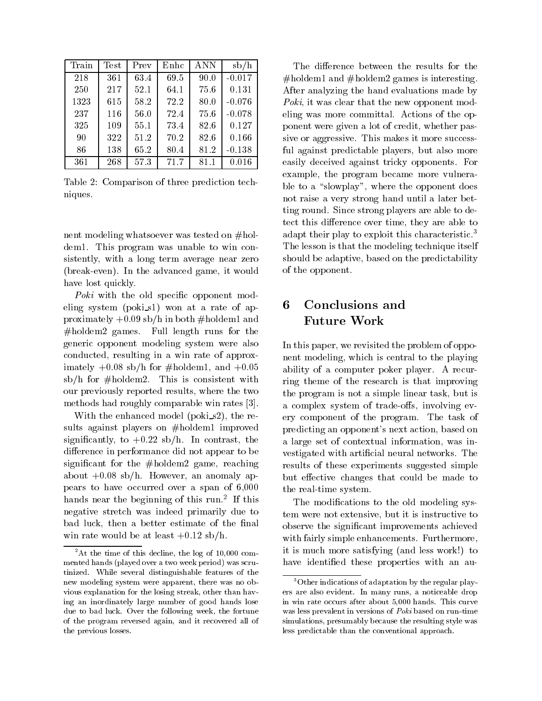| Train | <b>Test</b> | Prev | Enhc | <b>ANN</b> | sb/h     |                |
|-------|-------------|------|------|------------|----------|----------------|
| 218   | 361         | 63.4 | 69.5 | 90.0       | $-0.017$ | #              |
| 250   | 217         | 52.1 | 64.1 | 75.6       | 0.131    | A <sub>1</sub> |
| 1323  | 615         | 58.2 | 72.2 | 80.0       | $-0.076$ | $P_{0}$        |
| 237   | 116         | 56.0 | 72.4 | 75.6       | $-0.078$ | eli            |
| 325   | 109         | 55.1 | 73.4 | 82.6       | 0.127    | pc             |
| 90    | 322         | 51.2 | 70.2 | 82.6       | 0.166    | siy            |
| 86    | 138         | 65.2 | 80.4 | 81.2       | $-0.138$ | fu.            |
| 361   | 268         | 57.3 | 71.7 | 81.1       | 0.016    | ea             |

Table 2: Comparison of three prediction techniques.

nent modeling whatsoever was tested on #holdem1. This program was unable to win consistently, with a long term average near zero (break-even). In the advanced game, it would have lost quickly.

Poki with the old specific opponent modeling system (poki\_s1) won at a rate of approximately  $+0.09$  sb/h in both #holdem1 and #holdem2 games. Full length runs for the generic opponent modeling system were also conducted, resulting in a win rate of approximately  $+0.08$  sb/h for  $#holdem1$ , and  $+0.05$  $sb/h$  for  $#holdem2$ . This is consistent with our previously reported results, where the two methods had roughly comparable win rates [3].

With the enhanced model (poki\_s2), the results against players on #holdem1 improved significantly, to  $+0.22$  sb/h. In contrast, the difference in performance did not appear to be signicant for the #holdem2 game, reaching about  $+0.08$  sb/h. However, an anomaly appears to have occurred over a span of 6,000 hands near the beginning of this run.2 If this negative stretch was indeed primarily due to bad luck, then a better estimate of the final win rate would be at least  $+0.12$  sb/h.

The difference between the results for the  $#holdem1$  and  $#holdem2$  games is interesting. After analyzing the hand evaluations made by Poki, it was clear that the new opponent modeling was more committal. Actions of the opponent were given a lot of credit, whether passive or aggressive. This makes it more successful against predictable players, but also more easily deceived against tricky opponents. For example, the program became more vulnerable to a "slowplay", where the opponent does not raise a very strong hand until a later betting round. Since strong players are able to detect this difference over time, they are able to adapt their play to exploit this characteristic.3 The lesson is that the modeling technique itself should be adaptive, based on the predictability of the opponent.

### 6 Conclusions and Future Work

In this paper, we revisited the problem of opponent modeling, which is central to the playing ability of a computer poker player. A recurring theme of the research is that improving the program is not a simple linear task, but is a complex system of trade-offs, involving every component of the program. The task of predicting an opponent's next action, based on a large set of contextual information, was investigated with articial neural networks. The results of these experiments suggested simple but effective changes that could be made to the real-time system.

The modifications to the old modeling system were not extensive, but it is instructive to observe the signicant improvements achieved with fairly simple enhancements. Furthermore, it is much more satisfying (and less work!) to have identified these properties with an au-

 $2$ At the time of this decline, the log of 10,000 commented hands (played over a two week period) was scru tinized. While several distinguishable features of the new modeling system were apparent, there was no obvious explanation for the losing streak, other than having an inordinately large number of good hands lose due to bad luck. Over the following week, the fortune of the program reversed again, and it recovered all of the previous losses.

<sup>&</sup>lt;sup>3</sup>Other indications of adaptation by the regular players are also evident. In many runs, a noticeable drop in win rate occurs after about 5,000 hands. This curve was less prevalent in versions of Poki based on run-time simulations, presumably because the resulting style was less predictable than the conventional approach.